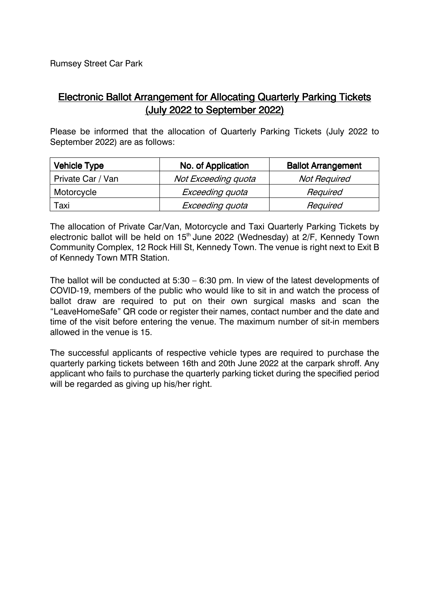Rumsey Street Car Park

## Electronic Ballot Arrangement for Allocating Quarterly Parking Tickets (July 2022 to September 2022)

Please be informed that the allocation of Quarterly Parking Tickets (July 2022 to September 2022) are as follows:

| <b>Vehicle Type</b> | No. of Application  | <b>Ballot Arrangement</b> |
|---------------------|---------------------|---------------------------|
| Private Car / Van   | Not Exceeding quota | <b>Not Required</b>       |
| Motorcycle          | Exceeding quota     | Required                  |
| Taxi                | Exceeding quota     | Required                  |

The allocation of Private Car/Van, Motorcycle and Taxi Quarterly Parking Tickets by electronic ballot will be held on  $15<sup>th</sup>$  June 2022 (Wednesday) at 2/F, Kennedy Town Community Complex, 12 Rock Hill St, Kennedy Town. The venue is right next to Exit B of Kennedy Town MTR Station.

The ballot will be conducted at 5:30 – 6:30 pm. In view of the latest developments of COVID-19, members of the public who would like to sit in and watch the process of ballot draw are required to put on their own surgical masks and scan the "LeaveHomeSafe" QR code or register their names, contact number and the date and time of the visit before entering the venue. The maximum number of sit-in members allowed in the venue is 15.

The successful applicants of respective vehicle types are required to purchase the quarterly parking tickets between 16th and 20th June 2022 at the carpark shroff. Any applicant who fails to purchase the quarterly parking ticket during the specified period will be regarded as giving up his/her right.